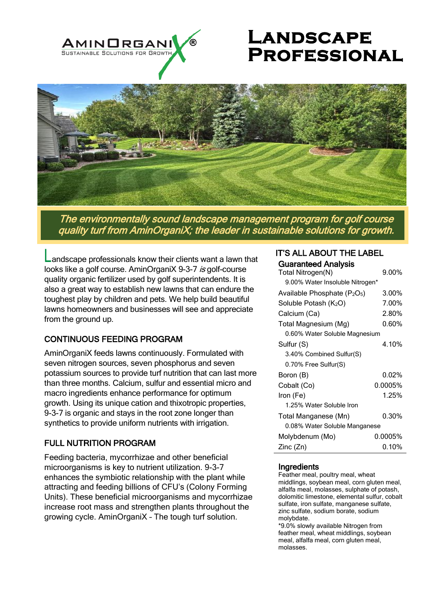

# **LANDSCAPE Professional**



The environmentally sound landscape management program for golf course quality turf from AminOrganiX; the leader in sustainable solutions for growth.

andscape professionals know their clients want a lawn that looks like a golf course. AminOrganiX 9-3-7 is golf-course quality organic fertilizer used by golf superintendents. It is also a great way to establish new lawns that can endure the toughest play by children and pets. We help build beautiful lawns homeowners and businesses will see and appreciate from the ground up.

## CONTINUOUS FEEDING PROGRAM

AminOrganiX feeds lawns continuously. Formulated with seven nitrogen sources, seven phosphorus and seven potassium sources to provide turf nutrition that can last more than three months. Calcium, sulfur and essential micro and macro ingredients enhance performance for optimum growth. Using its unique cation and thixotropic properties, 9-3-7 is organic and stays in the root zone longer than synthetics to provide uniform nutrients with irrigation.

# FULL NUTRITION PROGRAM

Feeding bacteria, mycorrhizae and other beneficial microorganisms is key to nutrient utilization. 9-3-7 enhances the symbiotic relationship with the plant while attracting and feeding billions of CFU's (Colony Forming Units). These beneficial microorganisms and mycorrhizae increase root mass and strengthen plants throughout the growing cycle. AminOrganiX – The tough turf solution.

#### IT'S ALL ABOUT THE LABEL Guaranteed Analysis

| GIGYING AT IONAI GILDUD                              |          |
|------------------------------------------------------|----------|
| Total Nitrogen(N)                                    | 9.00%    |
| 9.00% Water Insoluble Nitrogen*                      |          |
| Available Phosphate (P <sub>2</sub> O <sub>5</sub> ) | 3.00%    |
| Soluble Potash (K <sub>2</sub> O)                    | 7.00%    |
| Calcium (Ca)                                         | 2.80%    |
| Total Magnesium (Mg)                                 | 0.60%    |
| 0.60% Water Soluble Magnesium                        |          |
| Sulfur (S)                                           | 4.10%    |
| 3.40% Combined Sulfur(S)                             |          |
| 0.70% Free Sulfur(S)                                 |          |
| Boron (B)                                            | $0.02\%$ |
| Cobalt (Co)                                          | 0.0005%  |
| Iron (Fe)                                            | 1.25%    |
| 1.25% Water Soluble Iron                             |          |
| Total Manganese (Mn)                                 | 0.30%    |
| 0.08% Water Soluble Manganese                        |          |
| Molybdenum (Mo)                                      | 0.0005%  |
| Zinc(Zn)                                             | $0.10\%$ |

### **Ingredients**

Feather meal, poultry meal, wheat middlings, soybean meal, corn gluten meal, alfalfa meal, molasses, sulphate of potash, dolomitic limestone, elemental sulfur, cobalt sulfate, iron sulfate, manganese sulfate, zinc sulfate, sodium borate, sodium molybdate.

\*9.0% slowly available Nitrogen from feather meal, wheat middlings, soybean meal, alfalfa meal, corn gluten meal, molasses.